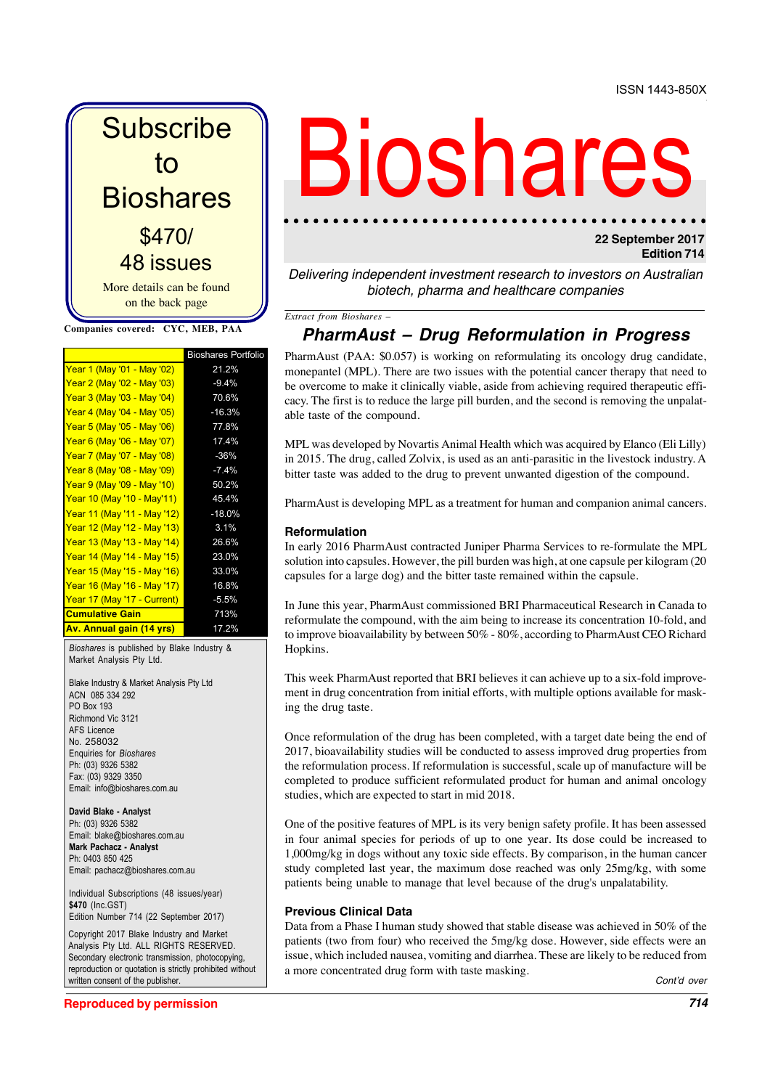**Subscribe** to **Bioshares** More details can be found on the back page \$470/ 48 issues

**Companies covered: CYC, MEB, PAA**

|                                     | <b>Bioshares Portfolio</b> |
|-------------------------------------|----------------------------|
| Year 1 (May '01 - May '02)          | 21.2%                      |
| Year 2 (May '02 - May '03)          | $-9.4%$                    |
| Year 3 (May '03 - May '04)          | 70.6%                      |
| Year 4 (May '04 - May '05)          | $-16.3%$                   |
| <b>Year 5 (May '05 - May '06)</b>   | 77.8%                      |
| Year 6 (May '06 - May '07)          | 17.4%                      |
| <b>Year 7 (May '07 - May '08)</b>   | $-36%$                     |
| Year 8 (May '08 - May '09)          | $-7.4%$                    |
| <b>Year 9 (May '09 - May '10)</b>   | 50.2%                      |
| Year 10 (May '10 - May'11)          | 45.4%                      |
| Year 11 (May '11 - May '12)         | $-18.0%$                   |
| Year 12 (May '12 - May '13)         | 3.1%                       |
| Year 13 (May '13 - May '14)         | 26.6%                      |
| <u>Year 14 (May '14 - May '15)</u>  | 23.0%                      |
| <u> Year 15 (May '15 - May '16)</u> | 33.0%                      |
| Year 16 (May '16 - May '17)         | 16.8%                      |
| Year 17 (May '17 - Current)         | $-5.5%$                    |
| <b>Cumulative Gain</b>              | 713%                       |
| <b>Av. Annual gain (14 yrs)</b>     | 17.2%                      |

*Bioshares* is published by Blake Industry & Market Analysis Pty Ltd.

Blake Industry & Market Analysis Pty Ltd ACN 085 334 292 PO Box 193 Richmond Vic 3121 AFS Licence No. 258032 Enquiries for *Bioshares* Ph: (03) 9326 5382 Fax: (03) 9329 3350 Email: info@bioshares.com.au

**David Blake - Analyst** Ph: (03) 9326 5382 Email: blake@bioshares.com.au **Mark Pachacz - Analyst** Ph: 0403 850 425 Email: pachacz@bioshares.com.au

Individual Subscriptions (48 issues/year) **\$470** (Inc.GST) Edition Number 714 (22 September 2017)

Copyright 2017 Blake Industry and Market Analysis Pty Ltd. ALL RIGHTS RESERVED. Secondary electronic transmission, photocopying, reproduction or quotation is strictly prohibited without written consent of the publisher.

# Bioshare

# **22 September 2017 Edition 714**

Delivering independent investment research to investors on Australian biotech, pharma and healthcare companies

*Extract from Bioshares –*

# **PharmAust – Drug Reformulation in Progress**

PharmAust (PAA: \$0.057) is working on reformulating its oncology drug candidate, monepantel (MPL). There are two issues with the potential cancer therapy that need to be overcome to make it clinically viable, aside from achieving required therapeutic efficacy. The first is to reduce the large pill burden, and the second is removing the unpalatable taste of the compound.

MPL was developed by Novartis Animal Health which was acquired by Elanco (Eli Lilly) in 2015. The drug, called Zolvix, is used as an anti-parasitic in the livestock industry. A bitter taste was added to the drug to prevent unwanted digestion of the compound.

PharmAust is developing MPL as a treatment for human and companion animal cancers.

### **Reformulation**

In early 2016 PharmAust contracted Juniper Pharma Services to re-formulate the MPL solution into capsules. However, the pill burden was high, at one capsule per kilogram (20 capsules for a large dog) and the bitter taste remained within the capsule.

In June this year, PharmAust commissioned BRI Pharmaceutical Research in Canada to reformulate the compound, with the aim being to increase its concentration 10-fold, and to improve bioavailability by between 50% - 80%, according to PharmAust CEO Richard Hopkins.

This week PharmAust reported that BRI believes it can achieve up to a six-fold improvement in drug concentration from initial efforts, with multiple options available for masking the drug taste.

Once reformulation of the drug has been completed, with a target date being the end of 2017, bioavailability studies will be conducted to assess improved drug properties from the reformulation process. If reformulation is successful, scale up of manufacture will be completed to produce sufficient reformulated product for human and animal oncology studies, which are expected to start in mid 2018.

One of the positive features of MPL is its very benign safety profile. It has been assessed in four animal species for periods of up to one year. Its dose could be increased to 1,000mg/kg in dogs without any toxic side effects. By comparison, in the human cancer study completed last year, the maximum dose reached was only 25mg/kg, with some patients being unable to manage that level because of the drug's unpalatability.

## **Previous Clinical Data**

Data from a Phase I human study showed that stable disease was achieved in 50% of the patients (two from four) who received the 5mg/kg dose. However, side effects were an issue, which included nausea, vomiting and diarrhea. These are likely to be reduced from a more concentrated drug form with taste masking.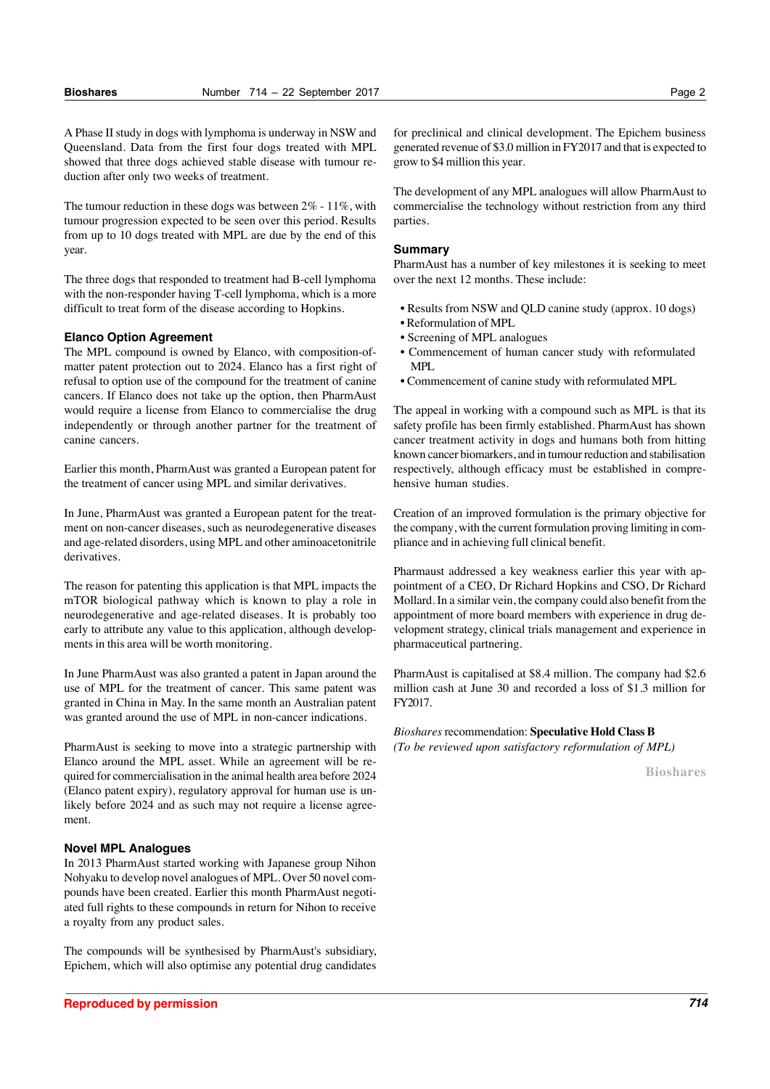A Phase II study in dogs with lymphoma is underway in NSW and Queensland. Data from the first four dogs treated with MPL showed that three dogs achieved stable disease with tumour reduction after only two weeks of treatment.

The tumour reduction in these dogs was between 2% - 11%, with tumour progression expected to be seen over this period. Results from up to 10 dogs treated with MPL are due by the end of this year.

The three dogs that responded to treatment had B-cell lymphoma with the non-responder having T-cell lymphoma, which is a more difficult to treat form of the disease according to Hopkins.

#### **Elanco Option Agreement**

The MPL compound is owned by Elanco, with composition-ofmatter patent protection out to 2024. Elanco has a first right of refusal to option use of the compound for the treatment of canine cancers. If Elanco does not take up the option, then PharmAust would require a license from Elanco to commercialise the drug independently or through another partner for the treatment of canine cancers.

Earlier this month, PharmAust was granted a European patent for the treatment of cancer using MPL and similar derivatives.

In June, PharmAust was granted a European patent for the treatment on non-cancer diseases, such as neurodegenerative diseases and age-related disorders, using MPL and other aminoacetonitrile derivatives.

The reason for patenting this application is that MPL impacts the mTOR biological pathway which is known to play a role in neurodegenerative and age-related diseases. It is probably too early to attribute any value to this application, although developments in this area will be worth monitoring.

In June PharmAust was also granted a patent in Japan around the use of MPL for the treatment of cancer. This same patent was granted in China in May. In the same month an Australian patent was granted around the use of MPL in non-cancer indications.

PharmAust is seeking to move into a strategic partnership with Elanco around the MPL asset. While an agreement will be required for commercialisation in the animal health area before 2024 (Elanco patent expiry), regulatory approval for human use is unlikely before 2024 and as such may not require a license agreement.

#### **Novel MPL Analogues**

In 2013 PharmAust started working with Japanese group Nihon Nohyaku to develop novel analogues of MPL. Over 50 novel compounds have been created. Earlier this month PharmAust negotiated full rights to these compounds in return for Nihon to receive a royalty from any product sales.

The compounds will be synthesised by PharmAust's subsidiary, Epichem, which will also optimise any potential drug candidates for preclinical and clinical development. The Epichem business generated revenue of \$3.0 million in FY2017 and that is expected to grow to \$4 million this year.

The development of any MPL analogues will allow PharmAust to commercialise the technology without restriction from any third parties.

#### **Summary**

PharmAust has a number of key milestones it is seeking to meet over the next 12 months. These include:

- Results from NSW and QLD canine study (approx. 10 dogs)
- Reformulation of MPL
- Screening of MPL analogues
- Commencement of human cancer study with reformulated MPL
- Commencement of canine study with reformulated MPL

The appeal in working with a compound such as MPL is that its safety profile has been firmly established. PharmAust has shown cancer treatment activity in dogs and humans both from hitting known cancer biomarkers, and in tumour reduction and stabilisation respectively, although efficacy must be established in comprehensive human studies.

Creation of an improved formulation is the primary objective for the company, with the current formulation proving limiting in compliance and in achieving full clinical benefit.

Pharmaust addressed a key weakness earlier this year with appointment of a CEO, Dr Richard Hopkins and CSO, Dr Richard Mollard. In a similar vein, the company could also benefit from the appointment of more board members with experience in drug development strategy, clinical trials management and experience in pharmaceutical partnering.

PharmAust is capitalised at \$8.4 million. The company had \$2.6 million cash at June 30 and recorded a loss of \$1.3 million for FY2017.

*Bioshares* recommendation: **Speculative Hold Class B** *(To be reviewed upon satisfactory reformulation of MPL)*

**Bioshares**